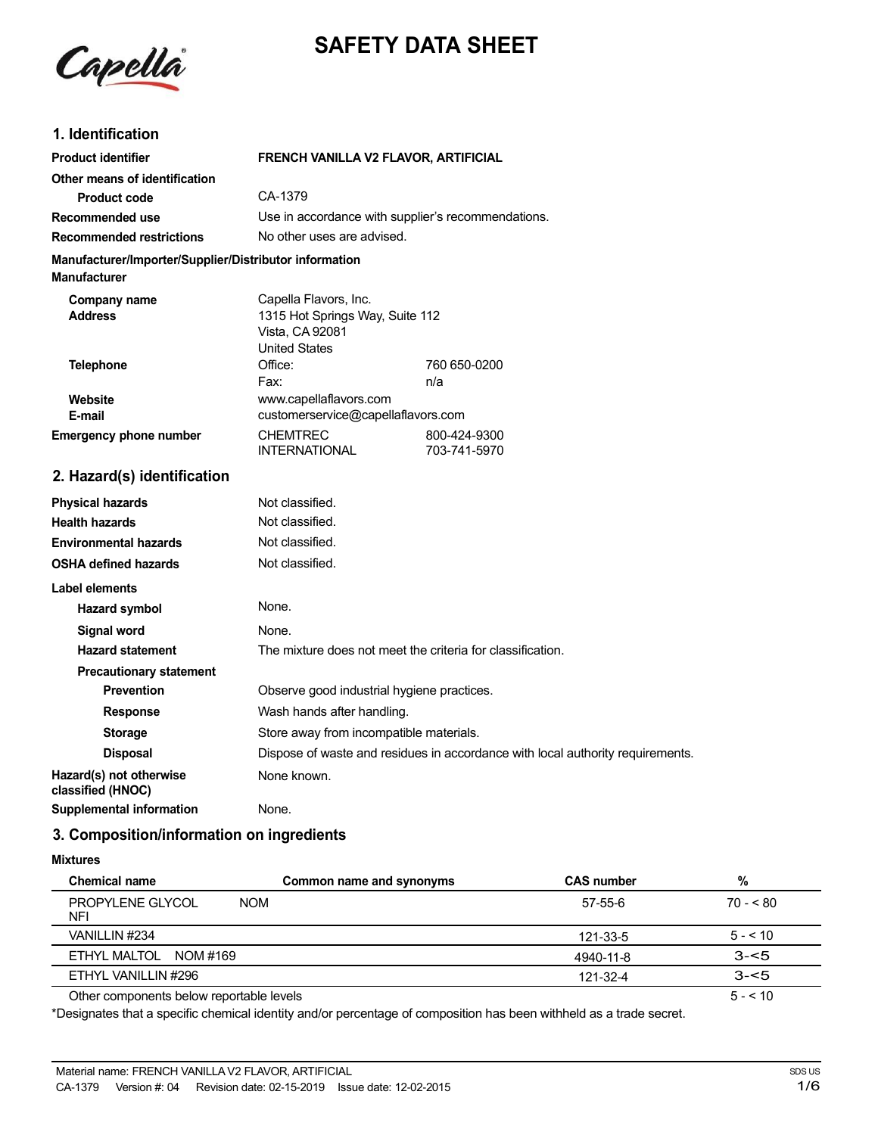



# **1. Identification**

| FRENCH VANILLA V2 FLAVOR, ARTIFICIAL                                                                |                              |
|-----------------------------------------------------------------------------------------------------|------------------------------|
| CA-1379                                                                                             |                              |
| Use in accordance with supplier's recommendations.                                                  |                              |
| No other uses are advised.                                                                          |                              |
| Manufacturer/Importer/Supplier/Distributor information                                              |                              |
| Capella Flavors, Inc.<br>1315 Hot Springs Way, Suite 112<br>Vista, CA 92081<br><b>United States</b> |                              |
| Office:                                                                                             | 760 650-0200                 |
| n/a<br>www.capellaflavors.com<br>customerservice@capellaflavors.com                                 |                              |
| <b>CHEMTREC</b><br><b>INTERNATIONAL</b>                                                             | 800-424-9300<br>703-741-5970 |
|                                                                                                     |                              |
| Not classified.                                                                                     |                              |
| Not classified.                                                                                     |                              |
| Not classified.                                                                                     |                              |
| Not classified.                                                                                     |                              |
|                                                                                                     |                              |
| None.                                                                                               |                              |
| None.                                                                                               |                              |
| The mixture does not meet the criteria for classification.                                          |                              |
|                                                                                                     |                              |
| Observe good industrial hygiene practices.                                                          |                              |
|                                                                                                     | Fax:                         |

**Response** Wash hands after handling.

**Storage** Store away from incompatible materials. **Disposal** Dispose of waste and residues in accordance with local authority requirements. **Hazard(s)** not otherwise None known. **classified (HNOC)**

**3. Composition/information on ingredients**

**Supplemental information** None.

#### **Mixtures**

| Chemical name                            | Common name and synonyms | <b>CAS number</b> | %         |
|------------------------------------------|--------------------------|-------------------|-----------|
| PROPYLENE GLYCOL<br><b>NOM</b><br>NFI    |                          | 57-55-6           | $70 - 80$ |
| VANILLIN #234                            |                          | 121-33-5          | $5 - 10$  |
| ETHYL MALTOL NOM #169                    |                          | 4940-11-8         | $3 - 5$   |
| ETHYL VANILLIN #296                      |                          | 121-32-4          | $3 - 5$   |
| Other components below reportable levels |                          |                   | $5 - 10$  |

Other components below reportable levels

\*Designates that a specific chemical identity and/or percentage of composition has been withheld as a trade secret.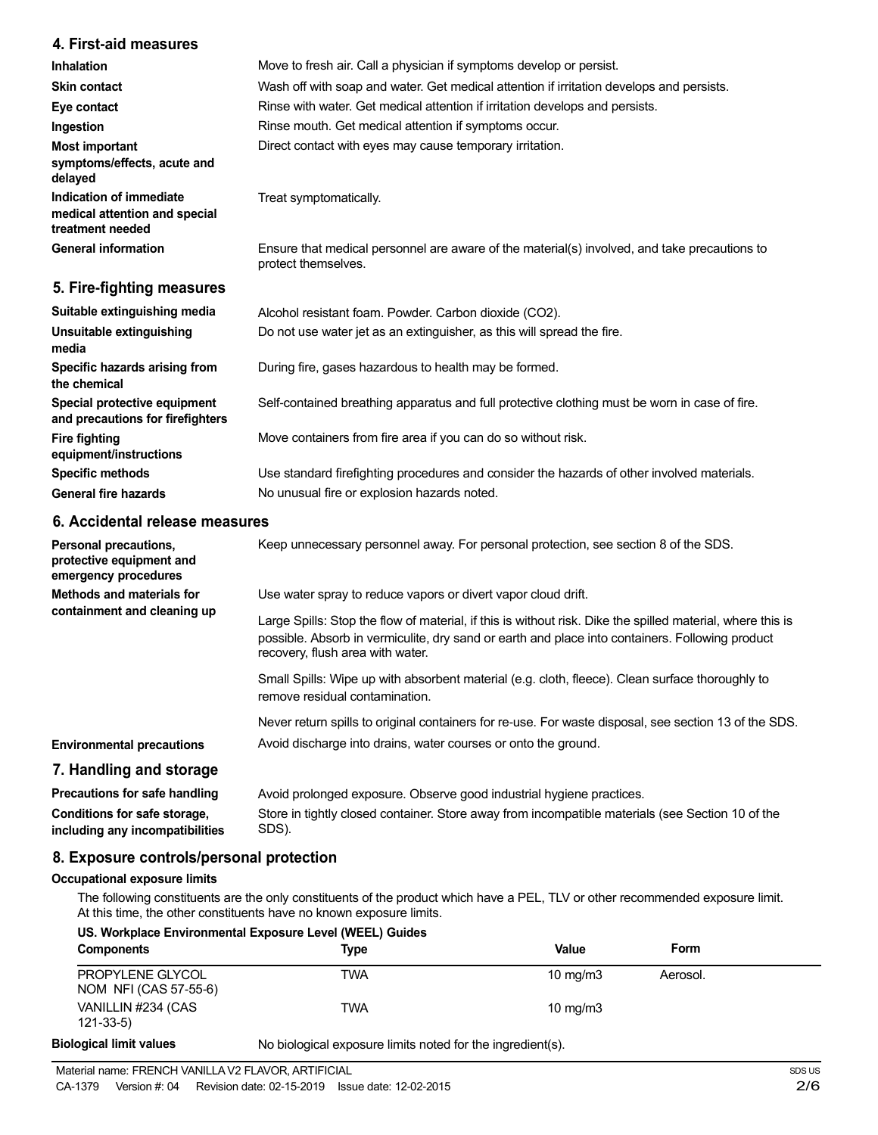## **4. First-aid measures**

| <b>Inhalation</b>                                                            | Move to fresh air. Call a physician if symptoms develop or persist.                                                 |
|------------------------------------------------------------------------------|---------------------------------------------------------------------------------------------------------------------|
| <b>Skin contact</b>                                                          | Wash off with soap and water. Get medical attention if irritation develops and persists.                            |
| Eye contact                                                                  | Rinse with water. Get medical attention if irritation develops and persists.                                        |
| Ingestion                                                                    | Rinse mouth. Get medical attention if symptoms occur.                                                               |
| <b>Most important</b><br>symptoms/effects, acute and<br>delayed              | Direct contact with eyes may cause temporary irritation.                                                            |
| Indication of immediate<br>medical attention and special<br>treatment needed | Treat symptomatically.                                                                                              |
| <b>General information</b>                                                   | Ensure that medical personnel are aware of the material(s) involved, and take precautions to<br>protect themselves. |
| 5. Fire-fighting measures                                                    |                                                                                                                     |

| Alcohol resistant foam. Powder. Carbon dioxide (CO2).                                         |
|-----------------------------------------------------------------------------------------------|
| Do not use water jet as an extinguisher, as this will spread the fire.                        |
| During fire, gases hazardous to health may be formed.                                         |
| Self-contained breathing apparatus and full protective clothing must be worn in case of fire. |
| Move containers from fire area if you can do so without risk.                                 |
| Use standard firefighting procedures and consider the hazards of other involved materials.    |
| No unusual fire or explosion hazards noted.                                                   |
|                                                                                               |

# **6. Accidental release measures**

| Personal precautions,<br>protective equipment and<br>emergency procedures | Keep unnecessary personnel away. For personal protection, see section 8 of the SDS.                                                                                                                                                               |
|---------------------------------------------------------------------------|---------------------------------------------------------------------------------------------------------------------------------------------------------------------------------------------------------------------------------------------------|
| Methods and materials for<br>containment and cleaning up                  | Use water spray to reduce vapors or divert vapor cloud drift.                                                                                                                                                                                     |
|                                                                           | Large Spills: Stop the flow of material, if this is without risk. Dike the spilled material, where this is<br>possible. Absorb in vermiculite, dry sand or earth and place into containers. Following product<br>recovery, flush area with water. |
|                                                                           | Small Spills: Wipe up with absorbent material (e.g. cloth, fleece). Clean surface thoroughly to<br>remove residual contamination.                                                                                                                 |
|                                                                           | Never return spills to original containers for re-use. For waste disposal, see section 13 of the SDS.                                                                                                                                             |
| <b>Environmental precautions</b>                                          | Avoid discharge into drains, water courses or onto the ground.                                                                                                                                                                                    |
| 7. Handling and storage                                                   |                                                                                                                                                                                                                                                   |
| Precautions for safe handling                                             | Avoid prolonged exposure. Observe good industrial hygiene practices.                                                                                                                                                                              |
| Conditions for safe storage,<br>including any incompatibilities           | Store in tightly closed container. Store away from incompatible materials (see Section 10 of the<br>SDS).                                                                                                                                         |

# **8. Exposure controls/personal protection**

## **Occupational exposure limits**

The following constituents are the only constituents of the product which have a PEL, TLV or other recommended exposure limit. At this time, the other constituents have no known exposure limits.

| <b>Components</b>                         | <b>Type</b> | Value             | Form     |
|-------------------------------------------|-------------|-------------------|----------|
| PROPYLENE GLYCOL<br>NOM NFI (CAS 57-55-6) | TWA         | $10 \text{ mg/m}$ | Aerosol. |
| VANILLIN #234 (CAS<br>$121 - 33 - 5$      | <b>TWA</b>  | $10 \text{ mg/m}$ |          |

**Biological limit values**

No biological exposure limits noted for the ingredient(s).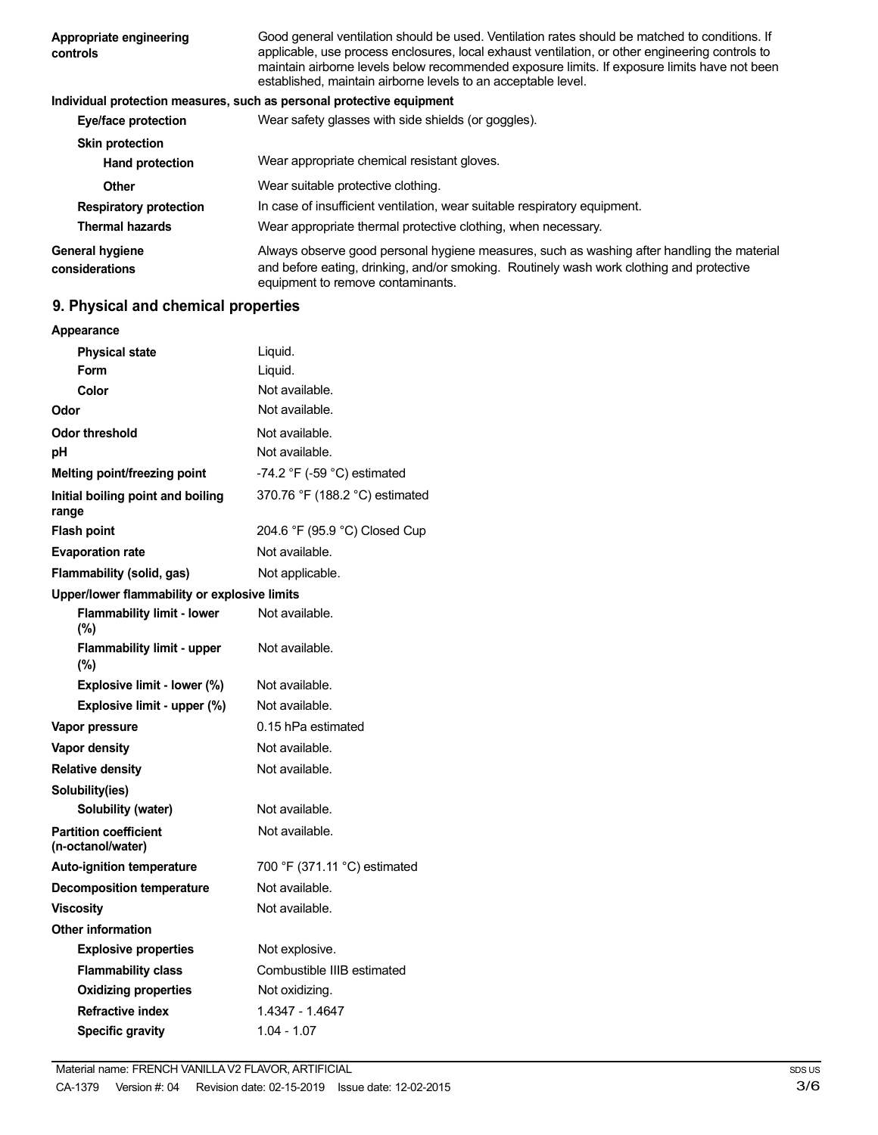| Appropriate engineering<br>controls | Good general ventilation should be used. Ventilation rates should be matched to conditions. If<br>applicable, use process enclosures, local exhaust ventilation, or other engineering controls to<br>maintain airborne levels below recommended exposure limits. If exposure limits have not been<br>established, maintain airborne levels to an acceptable level. |
|-------------------------------------|--------------------------------------------------------------------------------------------------------------------------------------------------------------------------------------------------------------------------------------------------------------------------------------------------------------------------------------------------------------------|
|                                     | Individual protection measures, such as personal protective equipment                                                                                                                                                                                                                                                                                              |
| Eye/face protection                 | Wear safety glasses with side shields (or goggles).                                                                                                                                                                                                                                                                                                                |
| <b>Skin protection</b>              |                                                                                                                                                                                                                                                                                                                                                                    |
| <b>Hand protection</b>              | Wear appropriate chemical resistant gloves.                                                                                                                                                                                                                                                                                                                        |
| Other                               | Wear suitable protective clothing.                                                                                                                                                                                                                                                                                                                                 |
| <b>Respiratory protection</b>       | In case of insufficient ventilation, wear suitable respiratory equipment.                                                                                                                                                                                                                                                                                          |
| <b>Thermal hazards</b>              | Wear appropriate thermal protective clothing, when necessary.                                                                                                                                                                                                                                                                                                      |
| General hygiene<br>considerations   | Always observe good personal hygiene measures, such as washing after handling the material<br>and before eating, drinking, and/or smoking. Routinely wash work clothing and protective<br>equipment to remove contaminants.                                                                                                                                        |

# **9. Physical and chemical properties**

| Appearance                                        |                                |
|---------------------------------------------------|--------------------------------|
| <b>Physical state</b>                             | Liquid.                        |
| Form                                              | Liquid.                        |
| Color                                             | Not available.                 |
| Odor                                              | Not available.                 |
| Odor threshold                                    | Not available.                 |
| рH                                                | Not available.                 |
| Melting point/freezing point                      | -74.2 °F (-59 °C) estimated    |
| Initial boiling point and boiling<br>range        | 370.76 °F (188.2 °C) estimated |
| <b>Flash point</b>                                | 204.6 °F (95.9 °C) Closed Cup  |
| <b>Evaporation rate</b>                           | Not available.                 |
| Flammability (solid, gas)                         | Not applicable.                |
| Upper/lower flammability or explosive limits      |                                |
| <b>Flammability limit - lower</b><br>$(\%)$       | Not available.                 |
| <b>Flammability limit - upper</b><br>$(\%)$       | Not available.                 |
| Explosive limit - lower (%)                       | Not available.                 |
| Explosive limit - upper (%)                       | Not available.                 |
| Vapor pressure                                    | 0.15 hPa estimated             |
| <b>Vapor density</b>                              | Not available.                 |
| <b>Relative density</b>                           | Not available.                 |
| Solubility(ies)                                   |                                |
| Solubility (water)                                | Not available.                 |
| <b>Partition coefficient</b><br>(n-octanol/water) | Not available.                 |
| <b>Auto-ignition temperature</b>                  | 700 °F (371.11 °C) estimated   |
| <b>Decomposition temperature</b>                  | Not available.                 |
| <b>Viscosity</b>                                  | Not available.                 |
| <b>Other information</b>                          |                                |
| <b>Explosive properties</b>                       | Not explosive.                 |
| <b>Flammability class</b>                         | Combustible IIIB estimated     |
| <b>Oxidizing properties</b>                       | Not oxidizing.                 |
| <b>Refractive index</b>                           | 1.4347 - 1.4647                |
| <b>Specific gravity</b>                           | $1.04 - 1.07$                  |
|                                                   |                                |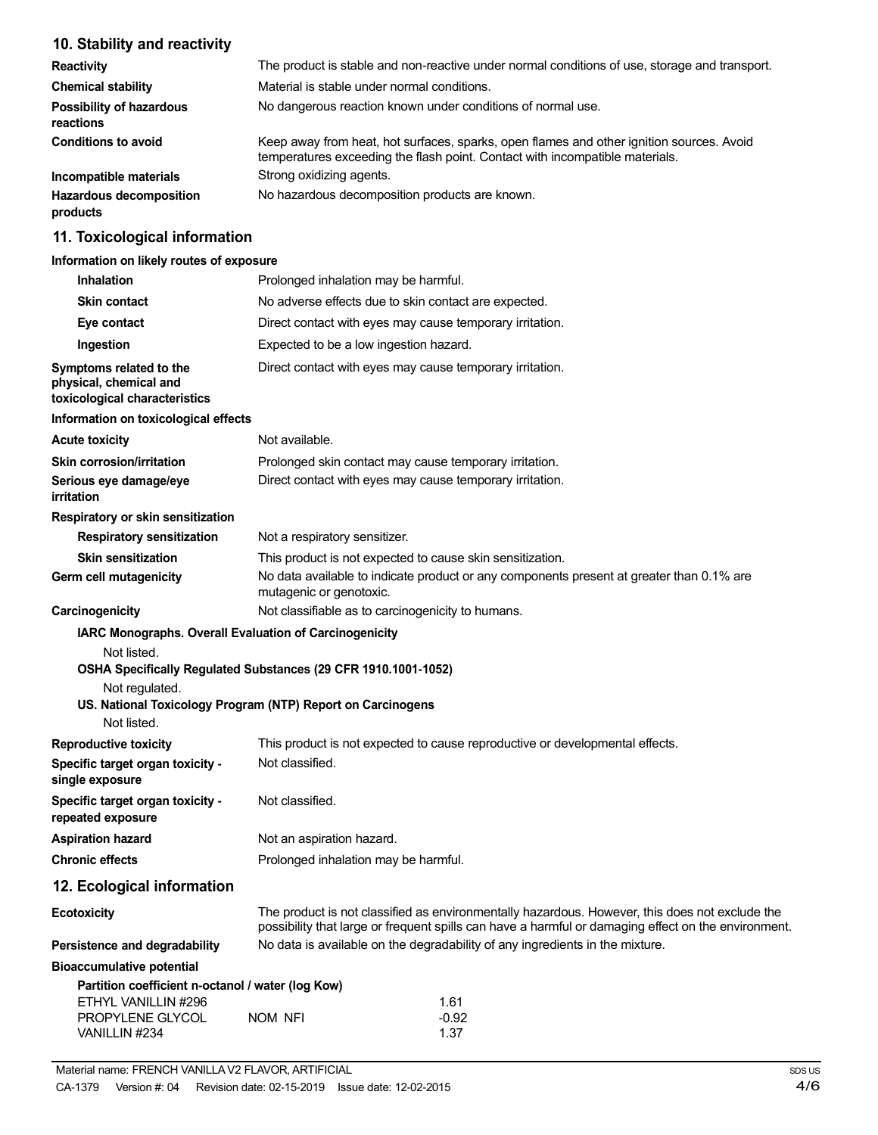# **10. Stability and reactivity**

| <b>Reactivity</b>                            | The product is stable and non-reactive under normal conditions of use, storage and transport.                                                                            |
|----------------------------------------------|--------------------------------------------------------------------------------------------------------------------------------------------------------------------------|
| <b>Chemical stability</b>                    | Material is stable under normal conditions.                                                                                                                              |
| <b>Possibility of hazardous</b><br>reactions | No dangerous reaction known under conditions of normal use.                                                                                                              |
| <b>Conditions to avoid</b>                   | Keep away from heat, hot surfaces, sparks, open flames and other ignition sources. Avoid<br>temperatures exceeding the flash point. Contact with incompatible materials. |
| Incompatible materials                       | Strong oxidizing agents.                                                                                                                                                 |
| <b>Hazardous decomposition</b><br>products   | No hazardous decomposition products are known.                                                                                                                           |

# **11. Toxicological information**

## **Information on likely routes of exposure**

| <b>Inhalation</b>                                                                            | Prolonged inhalation may be harmful.                                                                                                                                                                  |
|----------------------------------------------------------------------------------------------|-------------------------------------------------------------------------------------------------------------------------------------------------------------------------------------------------------|
| <b>Skin contact</b>                                                                          | No adverse effects due to skin contact are expected.                                                                                                                                                  |
| Eye contact                                                                                  | Direct contact with eyes may cause temporary irritation.                                                                                                                                              |
| Ingestion                                                                                    | Expected to be a low ingestion hazard.                                                                                                                                                                |
| Symptoms related to the<br>physical, chemical and<br>toxicological characteristics           | Direct contact with eyes may cause temporary irritation.                                                                                                                                              |
| Information on toxicological effects                                                         |                                                                                                                                                                                                       |
| <b>Acute toxicity</b>                                                                        | Not available.                                                                                                                                                                                        |
| <b>Skin corrosion/irritation</b>                                                             | Prolonged skin contact may cause temporary irritation.                                                                                                                                                |
| Serious eye damage/eye<br>irritation                                                         | Direct contact with eyes may cause temporary irritation.                                                                                                                                              |
| Respiratory or skin sensitization                                                            |                                                                                                                                                                                                       |
| <b>Respiratory sensitization</b>                                                             | Not a respiratory sensitizer.                                                                                                                                                                         |
| <b>Skin sensitization</b>                                                                    | This product is not expected to cause skin sensitization.                                                                                                                                             |
| Germ cell mutagenicity                                                                       | No data available to indicate product or any components present at greater than 0.1% are<br>mutagenic or genotoxic.                                                                                   |
| Carcinogenicity                                                                              | Not classifiable as to carcinogenicity to humans.                                                                                                                                                     |
| Not listed.<br>Not regulated.<br>Not listed.                                                 | OSHA Specifically Regulated Substances (29 CFR 1910.1001-1052)<br>US. National Toxicology Program (NTP) Report on Carcinogens                                                                         |
| <b>Reproductive toxicity</b>                                                                 | This product is not expected to cause reproductive or developmental effects.                                                                                                                          |
| Specific target organ toxicity -<br>single exposure                                          | Not classified.                                                                                                                                                                                       |
| Specific target organ toxicity -<br>repeated exposure                                        | Not classified.                                                                                                                                                                                       |
| <b>Aspiration hazard</b>                                                                     | Not an aspiration hazard.                                                                                                                                                                             |
| <b>Chronic effects</b>                                                                       | Prolonged inhalation may be harmful.                                                                                                                                                                  |
| 12. Ecological information                                                                   |                                                                                                                                                                                                       |
| <b>Ecotoxicity</b>                                                                           | The product is not classified as environmentally hazardous. However, this does not exclude the<br>possibility that large or frequent spills can have a harmful or damaging effect on the environment. |
| Persistence and degradability                                                                | No data is available on the degradability of any ingredients in the mixture.                                                                                                                          |
| <b>Bioaccumulative potential</b>                                                             |                                                                                                                                                                                                       |
| Partition coefficient n-octanol / water (log Kow)<br>ETHYL VANILLIN #296<br>PROPYLENE GLYCOL | 1.61<br>$-0.92$<br>NOM NFI                                                                                                                                                                            |
| VANILLIN #234                                                                                | 1.37                                                                                                                                                                                                  |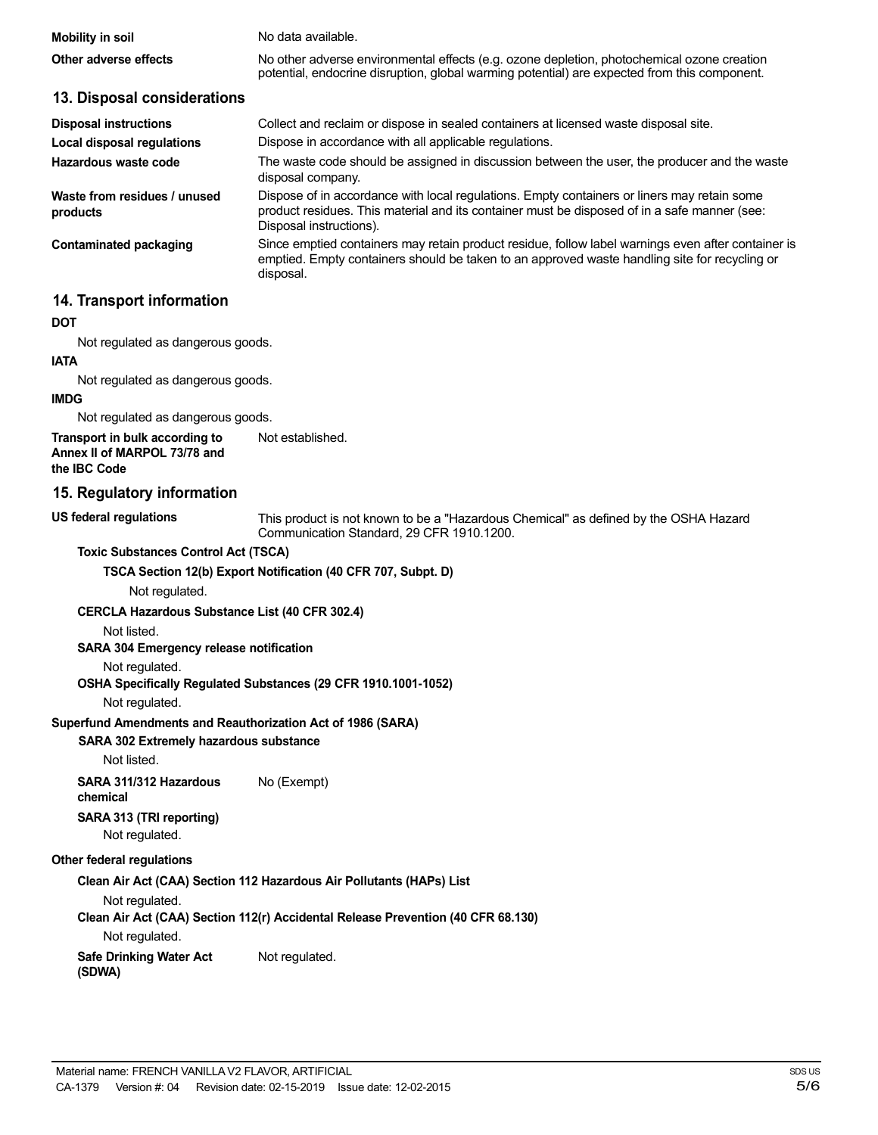| Mobility in soil      | No data available.                                                                                                                                                                         |
|-----------------------|--------------------------------------------------------------------------------------------------------------------------------------------------------------------------------------------|
| Other adverse effects | No other adverse environmental effects (e.g. ozone depletion, photochemical ozone creation<br>potential, endocrine disruption, global warming potential) are expected from this component. |

| <b>Disposal instructions</b>             | Collect and reclaim or dispose in sealed containers at licensed waste disposal site.                                                                                                                                   |
|------------------------------------------|------------------------------------------------------------------------------------------------------------------------------------------------------------------------------------------------------------------------|
| Local disposal regulations               | Dispose in accordance with all applicable regulations.                                                                                                                                                                 |
| Hazardous waste code                     | The waste code should be assigned in discussion between the user, the producer and the waste<br>disposal company.                                                                                                      |
| Waste from residues / unused<br>products | Dispose of in accordance with local regulations. Empty containers or liners may retain some<br>product residues. This material and its container must be disposed of in a safe manner (see:<br>Disposal instructions). |
| Contaminated packaging                   | Since emptied containers may retain product residue, follow label warnings even after container is<br>emptied. Empty containers should be taken to an approved waste handling site for recycling or<br>disposal.       |

## **14. Transport information**

**13. Disposal considerations**

#### **DOT**

Not regulated as dangerous goods.

#### **IATA**

Not regulated as dangerous goods.

#### **IMDG**

Not regulated as dangerous goods.

**Transport in bulk according to Annex II of MARPOL 73/78 and the IBC Code** Not established.

## **15. Regulatory information**

This product is not known to be a "Hazardous Chemical" as defined by the OSHA Hazard Communication Standard, 29 CFR 1910.1200.

#### **Toxic Substances Control Act (TSCA)**

**TSCA Section 12(b) Export Notification (40 CFR 707, Subpt. D)**

Not regulated.

**CERCLA Hazardous Substance List (40 CFR 302.4)**

Not listed.

**US federal regulations**

**SARA 304 Emergency release notification**

Not regulated.

**OSHA Specifically Regulated Substances (29 CFR 1910.1001-1052)**

Not regulated.

#### **Superfund Amendments and Reauthorization Act of 1986 (SARA)**

#### **SARA 302 Extremely hazardous substance**

Not listed.

**SARA 311/312 Hazardous** No (Exempt) **chemical**

# **SARA 313 (TRI reporting)**

Not regulated.

## **Other federal regulations**

**Clean Air Act (CAA) Section 112 Hazardous Air Pollutants (HAPs) List**

Not regulated.

**Clean Air Act (CAA) Section 112(r) Accidental Release Prevention (40 CFR 68.130)**

Not regulated.

**Safe Drinking Water Act** Not regulated.

**(SDWA)**